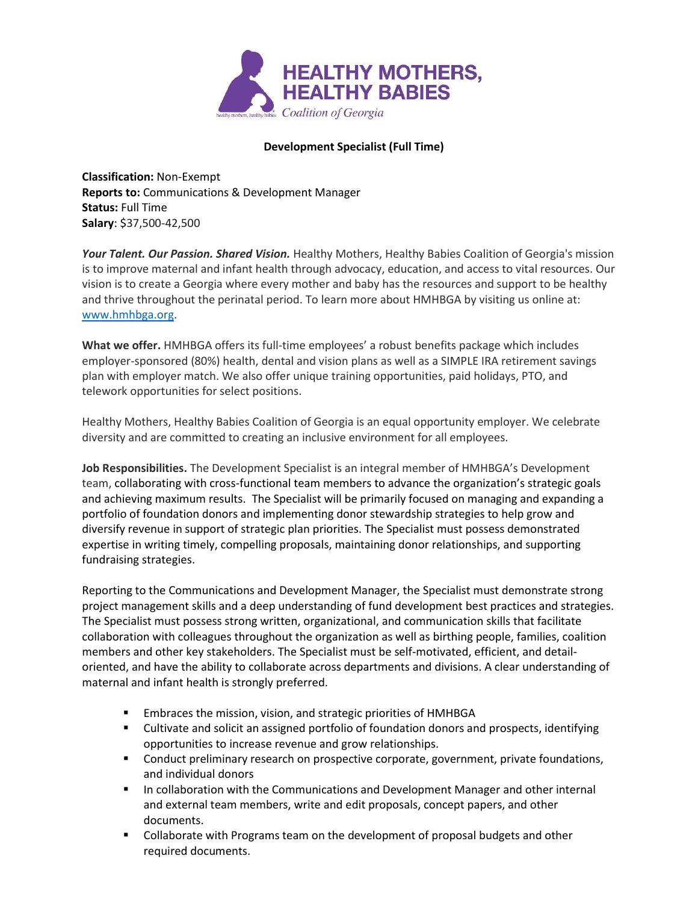

## **Development Specialist (Full Time)**

**Classification:** Non-Exempt **Reports to:** Communications & Development Manager **Status:** Full Time **Salary**: \$37,500-42,500

*Your Talent. Our Passion. Shared Vision.* Healthy Mothers, Healthy Babies Coalition of Georgia's mission is to improve maternal and infant health through advocacy, education, and access to vital resources. Our vision is to create a Georgia where every mother and baby has the resources and support to be healthy and thrive throughout the perinatal period. To learn more about HMHBGA by visiting us online at: [www.hmhbga.org.](http://www.hmhbga.org/)

**What we offer.** HMHBGA offers its full-time employees' a robust benefits package which includes employer-sponsored (80%) health, dental and vision plans as well as a SIMPLE IRA retirement savings plan with employer match. We also offer unique training opportunities, paid holidays, PTO, and telework opportunities for select positions.

Healthy Mothers, Healthy Babies Coalition of Georgia is an equal opportunity employer. We celebrate diversity and are committed to creating an inclusive environment for all employees.

**Job Responsibilities.** The Development Specialist is an integral member of HMHBGA's Development team, collaborating with cross-functional team members to advance the organization's strategic goals and achieving maximum results. The Specialist will be primarily focused on managing and expanding a portfolio of foundation donors and implementing donor stewardship strategies to help grow and diversify revenue in support of strategic plan priorities. The Specialist must possess demonstrated expertise in writing timely, compelling proposals, maintaining donor relationships, and supporting fundraising strategies.

Reporting to the Communications and Development Manager, the Specialist must demonstrate strong project management skills and a deep understanding of fund development best practices and strategies. The Specialist must possess strong written, organizational, and communication skills that facilitate collaboration with colleagues throughout the organization as well as birthing people, families, coalition members and other key stakeholders. The Specialist must be self-motivated, efficient, and detailoriented, and have the ability to collaborate across departments and divisions. A clear understanding of maternal and infant health is strongly preferred.

- Embraces the mission, vision, and strategic priorities of HMHBGA
- **EXECUTE:** Cultivate and solicit an assigned portfolio of foundation donors and prospects, identifying opportunities to increase revenue and grow relationships.
- **•** Conduct preliminary research on prospective corporate, government, private foundations, and individual donors
- **■** In collaboration with the Communications and Development Manager and other internal and external team members, write and edit proposals, concept papers, and other documents.
- Collaborate with Programs team on the development of proposal budgets and other required documents.